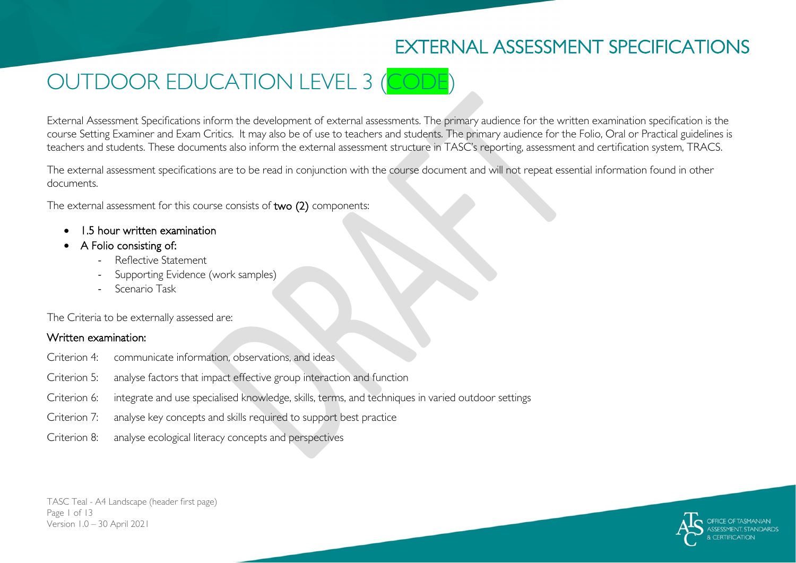# EXTERNAL ASSESSMENT SPECIFICATIONS

# OUTDOOR EDUCATION LEVEL 3 (CODE)

External Assessment Specifications inform the development of external assessments. The primary audience for the written examination specification is the course Setting Examiner and Exam Critics. It may also be of use to teachers and students. The primary audience for the Folio, Oral or Practical guidelines is teachers and students. These documents also inform the external assessment structure in TASC's reporting, assessment and certification system, TRACS.

The external assessment specifications are to be read in conjunction with the course document and will not repeat essential information found in other documents.

The external assessment for this course consists of two (2) components:

- 1.5 hour written examination
- A Folio consisting of:
	- Reflective Statement
	- Supporting Evidence (work samples)
	- Scenario Task

The Criteria to be externally assessed are:

#### Written examination:

- Criterion 4: communicate information, observations, and ideas
- Criterion 5: analyse factors that impact effective group interaction and function
- Criterion 6: integrate and use specialised knowledge, skills, terms, and techniques in varied outdoor settings
- Criterion 7: analyse key concepts and skills required to support best practice
- Criterion 8: analyse ecological literacy concepts and perspectives

TASC Teal - A4 Landscape (header first page) Page 1 of 13 Version 1.0 – 30 April 2021

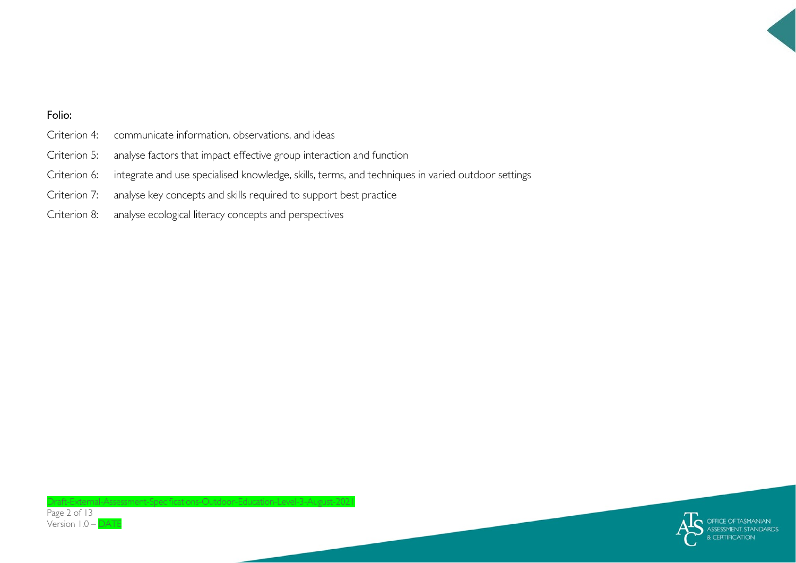#### Folio:

- Criterion 4: communicate information, observations, and ideas
- Criterion 5: analyse factors that impact effective group interaction and function
- Criterion 6: integrate and use specialised knowledge, skills, terms, and techniques in varied outdoor settings
- Criterion 7: analyse key concepts and skills required to support best practice
- Criterion 8: analyse ecological literacy concepts and perspectives

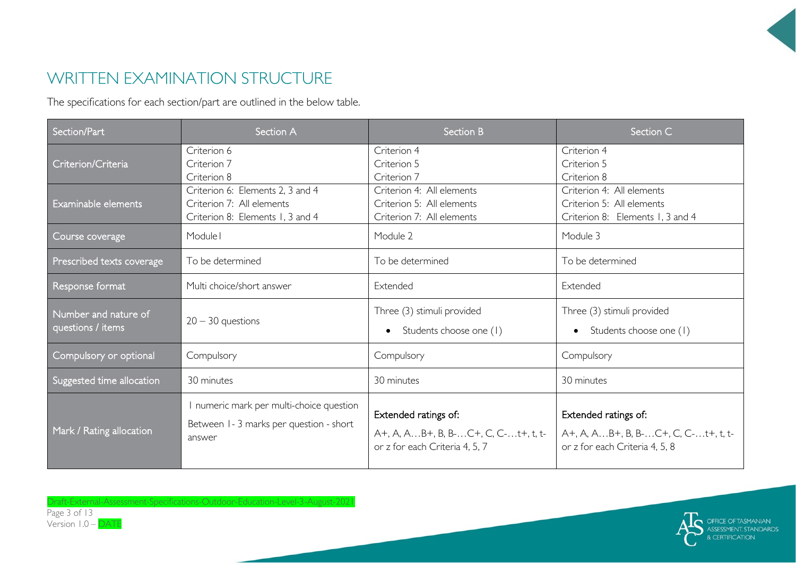## WRITTEN EXAMINATION STRUCTURE

The specifications for each section/part are outlined in the below table.

| Section/Part                              | Section A                                                                                         | <b>Section B</b>                                                                              | Section C                                                                                     |
|-------------------------------------------|---------------------------------------------------------------------------------------------------|-----------------------------------------------------------------------------------------------|-----------------------------------------------------------------------------------------------|
| Criterion/Criteria                        | Criterion 6<br>Criterion 7<br>Criterion 8                                                         | Criterion 4<br>Criterion 5<br>Criterion 7                                                     | Criterion 4<br>Criterion 5<br>Criterion 8                                                     |
| Examinable elements                       | Criterion 6: Elements 2, 3 and 4<br>Criterion 7: All elements<br>Criterion 8: Elements 1, 3 and 4 | Criterion 4: All elements<br>Criterion 5: All elements<br>Criterion 7: All elements           | Criterion 4: All elements<br>Criterion 5: All elements<br>Criterion 8: Elements 1, 3 and 4    |
| Course coverage                           | Module I                                                                                          | Module 2                                                                                      | Module 3                                                                                      |
| Prescribed texts coverage                 | To be determined                                                                                  | To be determined                                                                              | To be determined                                                                              |
| Response format                           | Multi choice/short answer                                                                         | Extended                                                                                      | Extended                                                                                      |
| Number and nature of<br>questions / items | $20 - 30$ questions                                                                               | Three (3) stimuli provided<br>Students choose one (1)                                         | Three (3) stimuli provided<br>Students choose one (1)                                         |
| Compulsory or optional                    | Compulsory                                                                                        | Compulsory                                                                                    | Compulsory                                                                                    |
| Suggested time allocation                 | 30 minutes                                                                                        | 30 minutes                                                                                    | 30 minutes                                                                                    |
| Mark / Rating allocation                  | I numeric mark per multi-choice question<br>Between 1-3 marks per question - short<br>answer      | Extended ratings of:<br>A+, A, AB+, B, B-C+, C, C-t+, t, t-<br>or z for each Criteria 4, 5, 7 | Extended ratings of:<br>A+, A, AB+, B, B-C+, C, C-t+, t, t-<br>or z for each Criteria 4, 5, 8 |



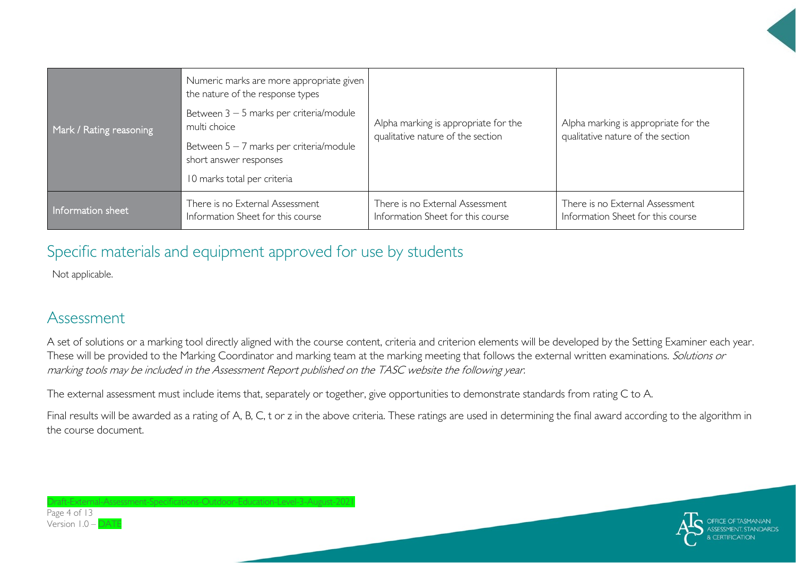| Mark / Rating reasoning | Numeric marks are more appropriate given<br>the nature of the response types<br>Between 3 - 5 marks per criteria/module<br>multi choice<br>Between $5 - 7$ marks per criteria/module<br>short answer responses<br>10 marks total per criteria | Alpha marking is appropriate for the<br>qualitative nature of the section | Alpha marking is appropriate for the<br>qualitative nature of the section |
|-------------------------|-----------------------------------------------------------------------------------------------------------------------------------------------------------------------------------------------------------------------------------------------|---------------------------------------------------------------------------|---------------------------------------------------------------------------|
| Information sheet       | There is no External Assessment                                                                                                                                                                                                               | There is no External Assessment                                           | There is no External Assessment                                           |
|                         | Information Sheet for this course                                                                                                                                                                                                             | Information Sheet for this course                                         | Information Sheet for this course                                         |

## Specific materials and equipment approved for use by students

Not applicable.

#### Assessment

A set of solutions or a marking tool directly aligned with the course content, criteria and criterion elements will be developed by the Setting Examiner each year. These will be provided to the Marking Coordinator and marking team at the marking meeting that follows the external written examinations. Solutions or marking tools may be included in the Assessment Report published on the TASC website the following year.

The external assessment must include items that, separately or together, give opportunities to demonstrate standards from rating C to A.

Final results will be awarded as a rating of A, B, C, t or z in the above criteria. These ratings are used in determining the final award according to the algorithm in the course document.



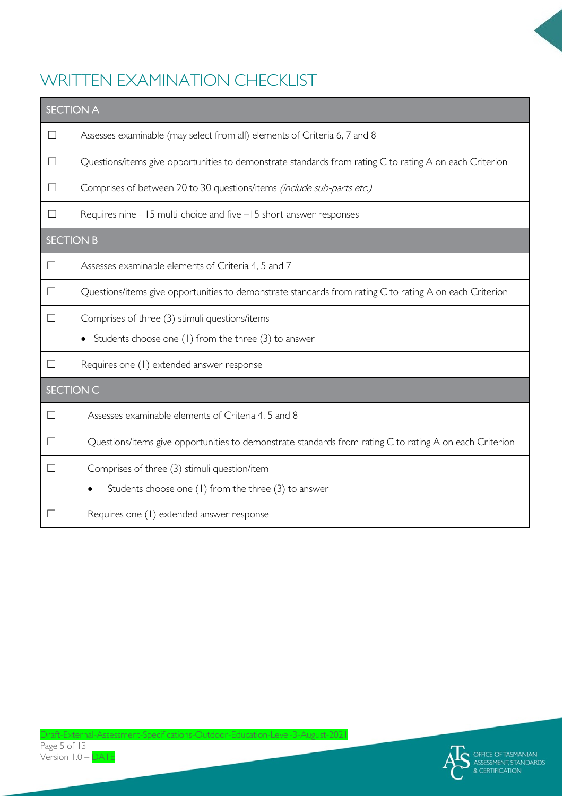

# WRITTEN EXAMINATION CHECKLIST

| <b>SECTION A</b> |                                                                                                         |  |  |  |
|------------------|---------------------------------------------------------------------------------------------------------|--|--|--|
| $\Box$           | Assesses examinable (may select from all) elements of Criteria 6, 7 and 8                               |  |  |  |
| $\mathbf{I}$     | Questions/items give opportunities to demonstrate standards from rating C to rating A on each Criterion |  |  |  |
| П                | Comprises of between 20 to 30 questions/items (include sub-parts etc.)                                  |  |  |  |
| $\Box$           | Requires nine - 15 multi-choice and five -15 short-answer responses                                     |  |  |  |
| <b>SECTION B</b> |                                                                                                         |  |  |  |
|                  | Assesses examinable elements of Criteria 4, 5 and 7                                                     |  |  |  |
|                  | Questions/items give opportunities to demonstrate standards from rating C to rating A on each Criterion |  |  |  |
|                  | Comprises of three (3) stimuli questions/items                                                          |  |  |  |
|                  | Students choose one (1) from the three (3) to answer                                                    |  |  |  |
| $\Box$           | Requires one (1) extended answer response                                                               |  |  |  |
| <b>SECTION C</b> |                                                                                                         |  |  |  |
|                  | Assesses examinable elements of Criteria 4, 5 and 8                                                     |  |  |  |
|                  | Questions/items give opportunities to demonstrate standards from rating C to rating A on each Criterion |  |  |  |
| $\mathsf{L}$     | Comprises of three (3) stimuli question/item                                                            |  |  |  |
|                  | Students choose one (1) from the three (3) to answer                                                    |  |  |  |
|                  | Requires one (1) extended answer response                                                               |  |  |  |

Version 1.0 - DATE

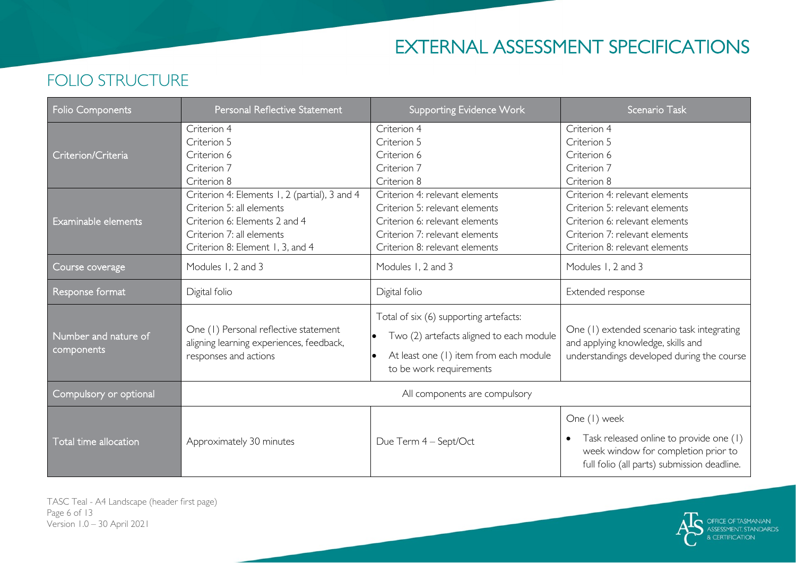# EXTERNAL ASSESSMENT SPECIFICATIONS

#### Folio Components **Personal Reflective Statement** National Supporting Evidence Work Scenario Task Criterion/Criteria Criterion 4 Criterion 5 Criterion 6 Criterion 7 Criterion 8 Criterion 4 Criterion 5 Criterion 6 Criterion 7 Criterion 8 Criterion 4 Criterion 5 Criterion 6 Criterion 7 Criterion 8 Examinable elements Criterion 4: Elements 1, 2 (partial), 3 and 4 Criterion 5: all elements Criterion 6: Elements 2 and 4 Criterion 7: all elements Criterion 8: Element 1, 3, and 4 Criterion 4: relevant elements Criterion 5: relevant elements Criterion 6: relevant elements Criterion 7: relevant elements Criterion 8: relevant elements Criterion 4: relevant elements Criterion 5: relevant elements Criterion 6: relevant elements Criterion 7: relevant elements Criterion 8: relevant elements Course coverage Modules 1, 2 and 3 Modules 1, 2 and 3 Modules 1, 2 and 3 Modules 1, 2 and 3 Response format **Digital folio** Digital folio **Digital folio** Digital folio **Digital folio Extended response** Number and nature of components One (1) Personal reflective statement aligning learning experiences, feedback, responses and actions Total of six (6) supporting artefacts: • Two (2) artefacts aligned to each module At least one (1) item from each module to be work requirements One (1) extended scenario task integrating and applying knowledge, skills and understandings developed during the course Compulsory or optional and all components are compulsory and All components are compulsory Total time allocation **Approximately 30 minutes** Due Term 4 – Sept/Oct One (1) week • Task released online to provide one (1) week window for completion prior to full folio (all parts) submission deadline.

FOLIO STRUCTURE

TASC Teal - A4 Landscape (header first page) Page 6 of 13 Version 1.0 – 30 April 2021

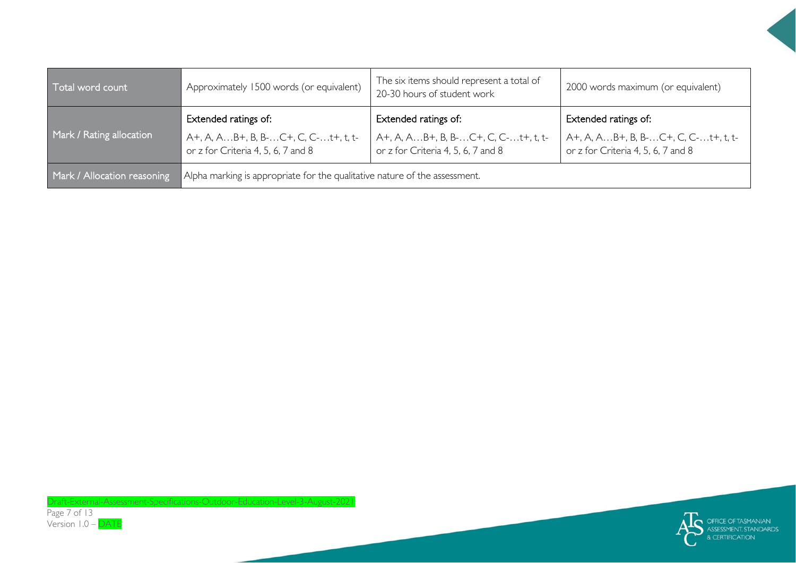| Total word count            | Approximately 1500 words (or equivalent)                                                          | The six items should represent a total of<br>20-30 hours of student work                          | 2000 words maximum (or equivalent)                                                                |
|-----------------------------|---------------------------------------------------------------------------------------------------|---------------------------------------------------------------------------------------------------|---------------------------------------------------------------------------------------------------|
| Mark / Rating allocation    | Extended ratings of:<br>A+, A, AB+, B, B-C+, C, C-t+, t, t-<br>or z for Criteria 4, 5, 6, 7 and 8 | Extended ratings of:<br>A+, A, AB+, B, B-C+, C, C-t+, t, t-<br>or z for Criteria 4, 5, 6, 7 and 8 | Extended ratings of:<br>A+, A, AB+, B, B-C+, C, C-t+, t, t-<br>or z for Criteria 4, 5, 6, 7 and 8 |
| Mark / Allocation reasoning | Alpha marking is appropriate for the qualitative nature of the assessment.                        |                                                                                                   |                                                                                                   |



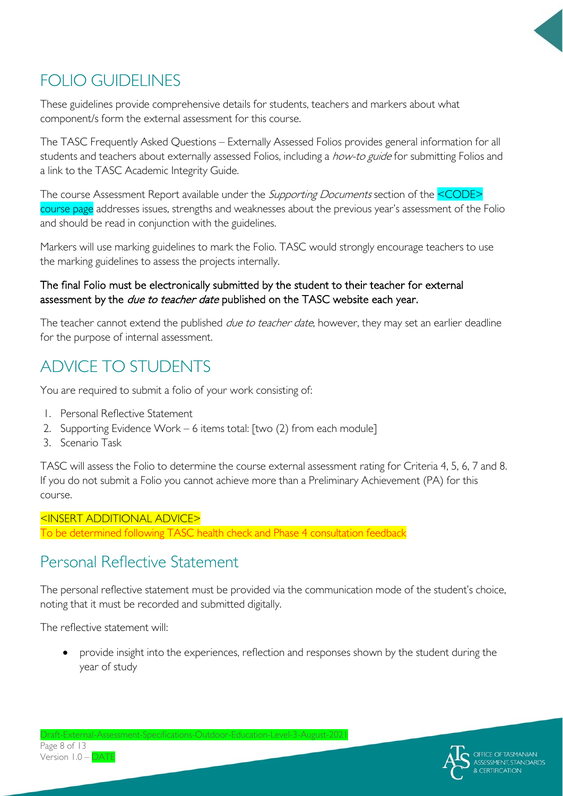

# FOLIO GUIDELINES

These guidelines provide comprehensive details for students, teachers and markers about what component/s form the external assessment for this course.

The TASC Frequently Asked Questions – Externally Assessed Folios provides general information for all students and teachers about externally assessed Folios, including a how-to guide for submitting Folios and a link to the TASC Academic Integrity Guide.

The course Assessment Report available under the *Supporting Documents* section of the **<CODE>** course page addresses issues, strengths and weaknesses about the previous year's assessment of the Folio and should be read in conjunction with the guidelines.

Markers will use marking guidelines to mark the Folio. TASC would strongly encourage teachers to use the marking guidelines to assess the projects internally.

#### The final Folio must be electronically submitted by the student to their teacher for external assessment by the due to teacher date published on the TASC website each year.

The teacher cannot extend the published *due to teacher date*, however, they may set an earlier deadline for the purpose of internal assessment.

# ADVICE TO STUDENTS

You are required to submit a folio of your work consisting of:

- 1. Personal Reflective Statement
- 2. Supporting Evidence Work 6 items total: [two (2) from each module]
- 3. Scenario Task

TASC will assess the Folio to determine the course external assessment rating for Criteria 4, 5, 6, 7 and 8. If you do not submit a Folio you cannot achieve more than a Preliminary Achievement (PA) for this course.

<INSERT ADDITIONAL ADVICE> To be determined following TASC health check and Phase 4 consultation feedback

## Personal Reflective Statement

The personal reflective statement must be provided via the communication mode of the student's choice, noting that it must be recorded and submitted digitally.

The reflective statement will:

• provide insight into the experiences, reflection and responses shown by the student during the year of study

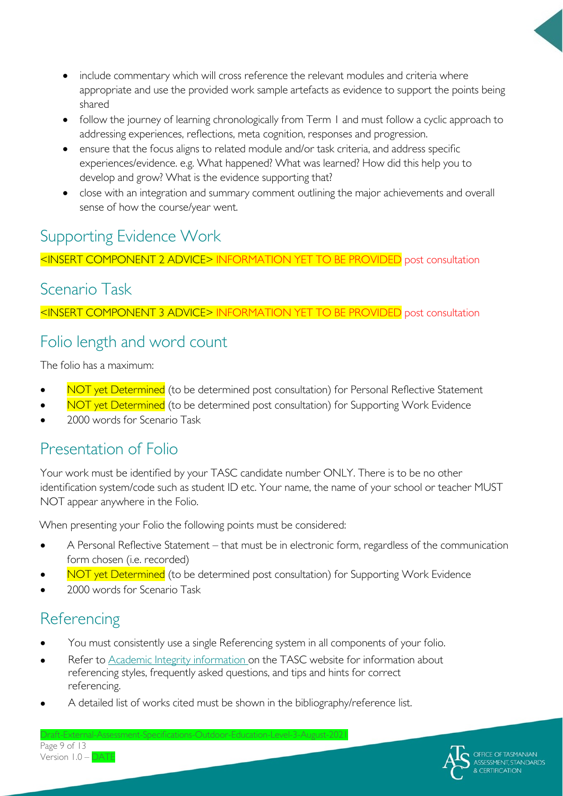- include commentary which will cross reference the relevant modules and criteria where appropriate and use the provided work sample artefacts as evidence to support the points being shared
- follow the journey of learning chronologically from Term 1 and must follow a cyclic approach to addressing experiences, reflections, meta cognition, responses and progression.
- ensure that the focus aligns to related module and/or task criteria, and address specific experiences/evidence. e.g. What happened? What was learned? How did this help you to develop and grow? What is the evidence supporting that?
- close with an integration and summary comment outlining the major achievements and overall sense of how the course/year went.

## Supporting Evidence Work

<INSERT COMPONENT 2 ADVICE> INFORMATION YET TO BE PROVIDED post consultation

#### Scenario Task

<INSERT COMPONENT 3 ADVICE> INFORMATION YET TO BE PROVIDED post consultation

### Folio length and word count

The folio has a maximum:

- NOT yet Determined (to be determined post consultation) for Personal Reflective Statement
- NOT yet Determined (to be determined post consultation) for Supporting Work Evidence
- 2000 words for Scenario Task

## Presentation of Folio

Your work must be identified by your TASC candidate number ONLY. There is to be no other identification system/code such as student ID etc. Your name, the name of your school or teacher MUST NOT appear anywhere in the Folio.

When presenting your Folio the following points must be considered:

- A Personal Reflective Statement that must be in electronic form, regardless of the communication form chosen (i.e. recorded)
- NOT yet Determined (to be determined post consultation) for Supporting Work Evidence
- 2000 words for Scenario Task

## **Referencing**

- You must consistently use a single Referencing system in all components of your folio.
- Refer to [Academic Integrity information o](https://www.tasc.tas.gov.au/students/academic-integrity/?highlight=academic%20integrity)n the TASC website for information about referencing styles, frequently asked questions, and tips and hints for correct referencing.
- A detailed list of works cited must be shown in the bibliography/reference list.

 $Draff-Fxternal-A$ Page 9 of 13 Version 1.0 – DATE

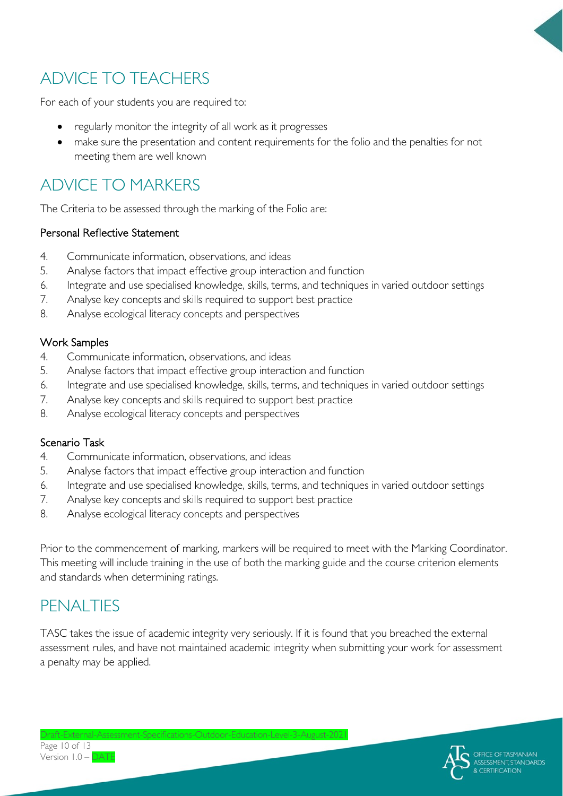

# ADVICE TO TEACHERS

For each of your students you are required to:

- regularly monitor the integrity of all work as it progresses
- make sure the presentation and content requirements for the folio and the penalties for not meeting them are well known

# ADVICE TO MARKERS

The Criteria to be assessed through the marking of the Folio are:

#### Personal Reflective Statement

- 4. Communicate information, observations, and ideas
- 5. Analyse factors that impact effective group interaction and function
- 6. Integrate and use specialised knowledge, skills, terms, and techniques in varied outdoor settings
- 7. Analyse key concepts and skills required to support best practice
- 8. Analyse ecological literacy concepts and perspectives

#### Work Samples

- 4. Communicate information, observations, and ideas
- 5. Analyse factors that impact effective group interaction and function
- 6. Integrate and use specialised knowledge, skills, terms, and techniques in varied outdoor settings
- 7. Analyse key concepts and skills required to support best practice
- 8. Analyse ecological literacy concepts and perspectives

#### Scenario Task

- 4. Communicate information, observations, and ideas
- 5. Analyse factors that impact effective group interaction and function
- 6. Integrate and use specialised knowledge, skills, terms, and techniques in varied outdoor settings
- 7. Analyse key concepts and skills required to support best practice
- 8. Analyse ecological literacy concepts and perspectives

Prior to the commencement of marking, markers will be required to meet with the Marking Coordinator. This meeting will include training in the use of both the marking guide and the course criterion elements and standards when determining ratings.

## PENALTIES

TASC takes the issue of academic integrity very seriously. If it is found that you breached the external assessment rules, and have not maintained academic integrity when submitting your work for assessment a penalty may be applied.